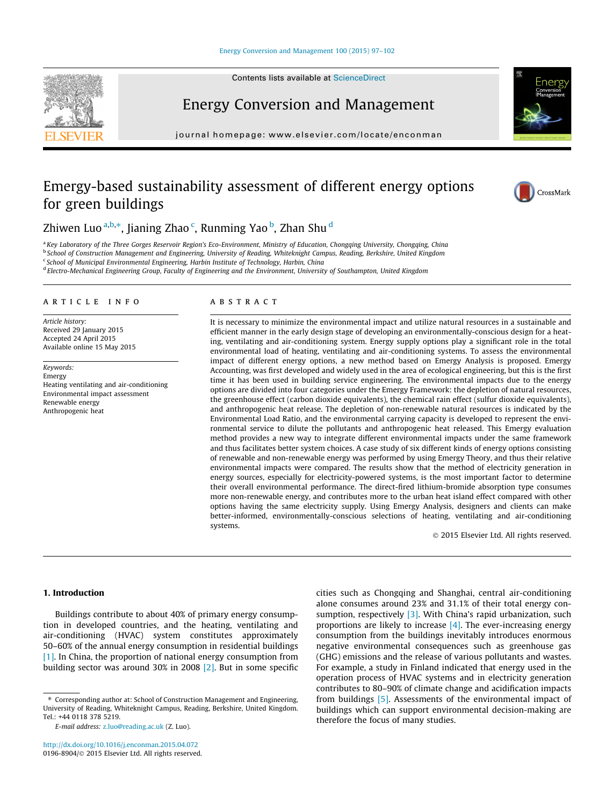### [Energy Conversion and Management 100 \(2015\) 97–102](http://dx.doi.org/10.1016/j.enconman.2015.04.072)

Contents lists available at [ScienceDirect](http://www.sciencedirect.com/science/journal/01968904)



Energy Conversion and Management

journal homepage: [www.elsevier.com/locate/enconman](http://www.elsevier.com/locate/enconman)

# Emergy-based sustainability assessment of different energy options for green buildings





Zhiwen Luo <sup>a,b,</sup>\*, Jianing Zhao <sup>c</sup>, Runming Yao <sup>b</sup>, Zhan Shu <sup>d</sup>

a Key Laboratory of the Three Gorges Reservoir Region's Eco-Environment, Ministry of Education, Chongqing University, Chongqing, China <sup>b</sup> School of Construction Management and Engineering, University of Reading, Whiteknight Campus, Reading, Berkshire, United Kingdom <sup>c</sup> School of Municipal Environmental Engineering, Harbin Institute of Technology, Harbin, China

<sup>d</sup> Electro-Mechanical Engineering Group, Faculty of Engineering and the Environment, University of Southampton, United Kingdom

#### article info

Article history: Received 29 January 2015 Accepted 24 April 2015 Available online 15 May 2015

Keywords: Emergy Heating ventilating and air-conditioning Environmental impact assessment Renewable energy Anthropogenic heat

#### **ABSTRACT**

It is necessary to minimize the environmental impact and utilize natural resources in a sustainable and efficient manner in the early design stage of developing an environmentally-conscious design for a heating, ventilating and air-conditioning system. Energy supply options play a significant role in the total environmental load of heating, ventilating and air-conditioning systems. To assess the environmental impact of different energy options, a new method based on Emergy Analysis is proposed. Emergy Accounting, was first developed and widely used in the area of ecological engineering, but this is the first time it has been used in building service engineering. The environmental impacts due to the energy options are divided into four categories under the Emergy Framework: the depletion of natural resources, the greenhouse effect (carbon dioxide equivalents), the chemical rain effect (sulfur dioxide equivalents), and anthropogenic heat release. The depletion of non-renewable natural resources is indicated by the Environmental Load Ratio, and the environmental carrying capacity is developed to represent the environmental service to dilute the pollutants and anthropogenic heat released. This Emergy evaluation method provides a new way to integrate different environmental impacts under the same framework and thus facilitates better system choices. A case study of six different kinds of energy options consisting of renewable and non-renewable energy was performed by using Emergy Theory, and thus their relative environmental impacts were compared. The results show that the method of electricity generation in energy sources, especially for electricity-powered systems, is the most important factor to determine their overall environmental performance. The direct-fired lithium-bromide absorption type consumes more non-renewable energy, and contributes more to the urban heat island effect compared with other options having the same electricity supply. Using Emergy Analysis, designers and clients can make better-informed, environmentally-conscious selections of heating, ventilating and air-conditioning systems.

- 2015 Elsevier Ltd. All rights reserved.

## 1. Introduction

Buildings contribute to about 40% of primary energy consumption in developed countries, and the heating, ventilating and air-conditioning (HVAC) system constitutes approximately 50–60% of the annual energy consumption in residential buildings [\[1\]](#page--1-0). In China, the proportion of national energy consumption from building sector was around 30% in 2008 [\[2\]](#page--1-0). But in some specific cities such as Chongqing and Shanghai, central air-conditioning alone consumes around 23% and 31.1% of their total energy con-sumption, respectively [\[3\].](#page--1-0) With China's rapid urbanization, such proportions are likely to increase  $[4]$ . The ever-increasing energy consumption from the buildings inevitably introduces enormous negative environmental consequences such as greenhouse gas (GHG) emissions and the release of various pollutants and wastes. For example, a study in Finland indicated that energy used in the operation process of HVAC systems and in electricity generation contributes to 80–90% of climate change and acidification impacts from buildings [\[5\].](#page--1-0) Assessments of the environmental impact of buildings which can support environmental decision-making are therefore the focus of many studies.

 $*$  Corresponding author at: School of Construction Management and Engineering. University of Reading, Whiteknight Campus, Reading, Berkshire, United Kingdom. Tel.: +44 0118 378 5219.

E-mail address: [z.luo@reading.ac.uk](mailto:z.luo@reading.ac.uk) (Z. Luo).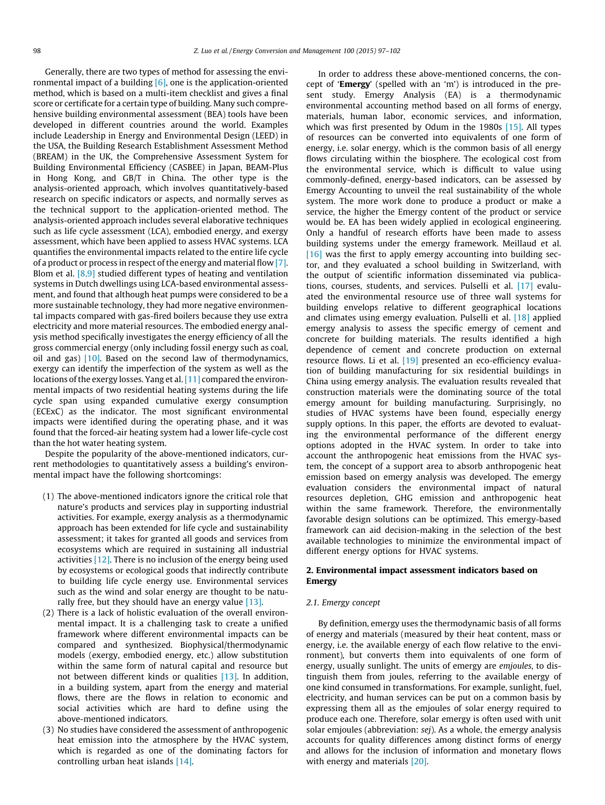Generally, there are two types of method for assessing the environmental impact of a building  $[6]$ , one is the application-oriented method, which is based on a multi-item checklist and gives a final score or certificate for a certain type of building. Many such comprehensive building environmental assessment (BEA) tools have been developed in different countries around the world. Examples include Leadership in Energy and Environmental Design (LEED) in the USA, the Building Research Establishment Assessment Method (BREAM) in the UK, the Comprehensive Assessment System for Building Environmental Efficiency (CASBEE) in Japan, BEAM-Plus in Hong Kong, and GB/T in China. The other type is the analysis-oriented approach, which involves quantitatively-based research on specific indicators or aspects, and normally serves as the technical support to the application-oriented method. The analysis-oriented approach includes several elaborative techniques such as life cycle assessment (LCA), embodied energy, and exergy assessment, which have been applied to assess HVAC systems. LCA quantifies the environmental impacts related to the entire life cycle of a product or process in respect of the energy and material flow [\[7\].](#page--1-0) Blom et al. [\[8,9\]](#page--1-0) studied different types of heating and ventilation systems in Dutch dwellings using LCA-based environmental assessment, and found that although heat pumps were considered to be a more sustainable technology, they had more negative environmental impacts compared with gas-fired boilers because they use extra electricity and more material resources. The embodied energy analysis method specifically investigates the energy efficiency of all the gross commercial energy (only including fossil energy such as coal, oil and gas)  $[10]$ . Based on the second law of thermodynamics, exergy can identify the imperfection of the system as well as the locations of the exergy losses. Yang et al. [\[11\]](#page--1-0) compared the environmental impacts of two residential heating systems during the life cycle span using expanded cumulative exergy consumption (ECExC) as the indicator. The most significant environmental impacts were identified during the operating phase, and it was found that the forced-air heating system had a lower life-cycle cost than the hot water heating system.

Despite the popularity of the above-mentioned indicators, current methodologies to quantitatively assess a building's environmental impact have the following shortcomings:

- (1) The above-mentioned indicators ignore the critical role that nature's products and services play in supporting industrial activities. For example, exergy analysis as a thermodynamic approach has been extended for life cycle and sustainability assessment; it takes for granted all goods and services from ecosystems which are required in sustaining all industrial activities [\[12\]](#page--1-0). There is no inclusion of the energy being used by ecosystems or ecological goods that indirectly contribute to building life cycle energy use. Environmental services such as the wind and solar energy are thought to be naturally free, but they should have an energy value [\[13\]](#page--1-0).
- (2) There is a lack of holistic evaluation of the overall environmental impact. It is a challenging task to create a unified framework where different environmental impacts can be compared and synthesized. Biophysical/thermodynamic models (exergy, embodied energy, etc.) allow substitution within the same form of natural capital and resource but not between different kinds or qualities [\[13\]](#page--1-0). In addition, in a building system, apart from the energy and material flows, there are the flows in relation to economic and social activities which are hard to define using the above-mentioned indicators.
- (3) No studies have considered the assessment of anthropogenic heat emission into the atmosphere by the HVAC system, which is regarded as one of the dominating factors for controlling urban heat islands [\[14\].](#page--1-0)

In order to address these above-mentioned concerns, the concept of 'Emergy' (spelled with an 'm') is introduced in the present study. Emergy Analysis (EA) is a thermodynamic environmental accounting method based on all forms of energy, materials, human labor, economic services, and information, which was first presented by Odum in the 1980s [\[15\]](#page--1-0). All types of resources can be converted into equivalents of one form of energy, i.e. solar energy, which is the common basis of all energy flows circulating within the biosphere. The ecological cost from the environmental service, which is difficult to value using commonly-defined, energy-based indicators, can be assessed by Emergy Accounting to unveil the real sustainability of the whole system. The more work done to produce a product or make a service, the higher the Emergy content of the product or service would be. EA has been widely applied in ecological engineering. Only a handful of research efforts have been made to assess building systems under the emergy framework. Meillaud et al.  $[16]$  was the first to apply emergy accounting into building sector, and they evaluated a school building in Switzerland, with the output of scientific information disseminated via publications, courses, students, and services. Pulselli et al. [\[17\]](#page--1-0) evaluated the environmental resource use of three wall systems for building envelops relative to different geographical locations and climates using emergy evaluation. Pulselli et al. [\[18\]](#page--1-0) applied emergy analysis to assess the specific emergy of cement and concrete for building materials. The results identified a high dependence of cement and concrete production on external resource flows. Li et al. <a>[\[19\]](#page--1-0)</a> presented an eco-efficiency evaluation of building manufacturing for six residential buildings in China using emergy analysis. The evaluation results revealed that construction materials were the dominating source of the total emergy amount for building manufacturing. Surprisingly, no studies of HVAC systems have been found, especially energy supply options. In this paper, the efforts are devoted to evaluating the environmental performance of the different energy options adopted in the HVAC system. In order to take into account the anthropogenic heat emissions from the HVAC system, the concept of a support area to absorb anthropogenic heat emission based on emergy analysis was developed. The emergy evaluation considers the environmental impact of natural resources depletion, GHG emission and anthropogenic heat within the same framework. Therefore, the environmentally favorable design solutions can be optimized. This emergy-based framework can aid decision-making in the selection of the best available technologies to minimize the environmental impact of different energy options for HVAC systems.

### 2. Environmental impact assessment indicators based on Emergy

#### 2.1. Emergy concept

By definition, emergy uses the thermodynamic basis of all forms of energy and materials (measured by their heat content, mass or energy, i.e. the available energy of each flow relative to the environment), but converts them into equivalents of one form of energy, usually sunlight. The units of emergy are emjoules, to distinguish them from joules, referring to the available energy of one kind consumed in transformations. For example, sunlight, fuel, electricity, and human services can be put on a common basis by expressing them all as the emjoules of solar energy required to produce each one. Therefore, solar emergy is often used with unit solar emjoules (abbreviation: sej). As a whole, the emergy analysis accounts for quality differences among distinct forms of energy and allows for the inclusion of information and monetary flows with energy and materials [\[20\]](#page--1-0).